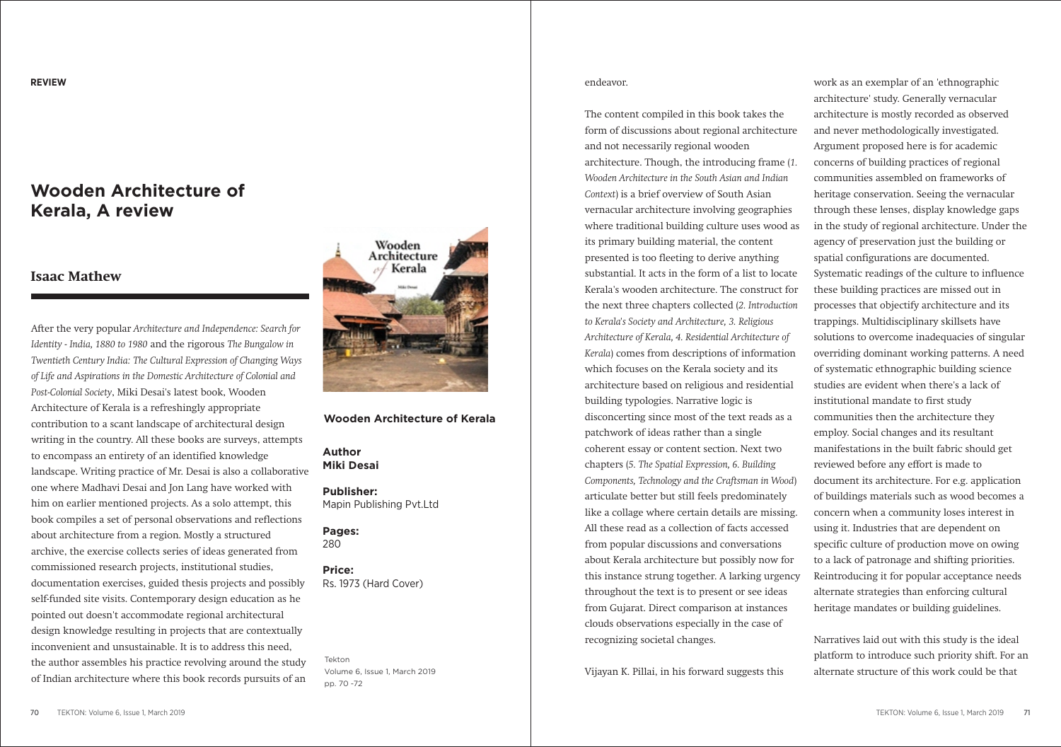# **Wooden Architecture of Kerala, A review**

## **Isaac Mathew**

After the very popular *Architecture and Independence: Search for Identity - India, 1880 to 1980* and the rigorous *The Bungalow in Twentieth Century India: The Cultural Expression of Changing Ways of Life and Aspirations in the Domestic Architecture of Colonial and Post-Colonial Society*, Miki Desai's latest book, Wooden Architecture of Kerala is a refreshingly appropriate contribution to a scant landscape of architectural design writing in the country. All these books are surveys, attempts to encompass an entirety of an identified knowledge landscape. Writing practice of Mr. Desai is also a collaborative one where Madhavi Desai and Jon Lang have worked with him on earlier mentioned projects. As a solo attempt, this book compiles a set of personal observations and reflections about architecture from a region. Mostly a structured archive, the exercise collects series of ideas generated from commissioned research projects, institutional studies, documentation exercises, guided thesis projects and possibly self-funded site visits. Contemporary design education as he pointed out doesn't accommodate regional architectural design knowledge resulting in projects that are contextually inconvenient and unsustainable. It is to address this need, the author assembles his practice revolving around the study of Indian architecture where this book records pursuits of an



#### **Wooden Architecture of Kerala**

#### **Author Miki Desai**

**Publisher:** Mapin Publishing Pvt.Ltd

**Pages:**  280

### **Price:**

Rs. 1973 (Hard Cover)

Tekton Volume 6, Issue 1, March 2019 pp. 70 -72

#### endeavor.

The content compiled in this book takes the form of discussions about regional architecture and not necessarily regional wooden architecture. Though, the introducing frame (*1. Wooden Architecture in the South Asian and Indian Context*) is a brief overview of South Asian vernacular architecture involving geographies where traditional building culture uses wood as its primary building material, the content presented is too fleeting to derive anything substantial. It acts in the form of a list to locate Kerala's wooden architecture. The construct for the next three chapters collected (*2. Introduction to Kerala's Society and Architecture, 3. Religious Architecture of Kerala, 4. Residential Architecture of Kerala*) comes from descriptions of information which focuses on the Kerala society and its architecture based on religious and residential building typologies. Narrative logic is disconcerting since most of the text reads as a patchwork of ideas rather than a single coherent essay or content section. Next two chapters (*5. The Spatial Expression, 6. Building Components, Technology and the Craftsman in Wood*) articulate better but still feels predominately like a collage where certain details are missing. All these read as a collection of facts accessed from popular discussions and conversations about Kerala architecture but possibly now for this instance strung together. A larking urgency throughout the text is to present or see ideas from Gujarat. Direct comparison at instances clouds observations especially in the case of recognizing societal changes.

Vijayan K. Pillai, in his forward suggests this

work as an exemplar of an 'ethnographic architecture' study. Generally vernacular architecture is mostly recorded as observed and never methodologically investigated. Argument proposed here is for academic concerns of building practices of regional communities assembled on frameworks of heritage conservation. Seeing the vernacular through these lenses, display knowledge gaps in the study of regional architecture. Under the agency of preservation just the building or spatial configurations are documented. Systematic readings of the culture to influence these building practices are missed out in processes that objectify architecture and its trappings. Multidisciplinary skillsets have solutions to overcome inadequacies of singular overriding dominant working patterns. A need of systematic ethnographic building science studies are evident when there's a lack of institutional mandate to first study communities then the architecture they employ. Social changes and its resultant manifestations in the built fabric should get reviewed before any effort is made to document its architecture. For e.g. application of buildings materials such as wood becomes a concern when a community loses interest in using it. Industries that are dependent on specific culture of production move on owing to a lack of patronage and shifting priorities. Reintroducing it for popular acceptance needs alternate strategies than enforcing cultural heritage mandates or building guidelines.

Narratives laid out with this study is the ideal platform to introduce such priority shift. For an alternate structure of this work could be that